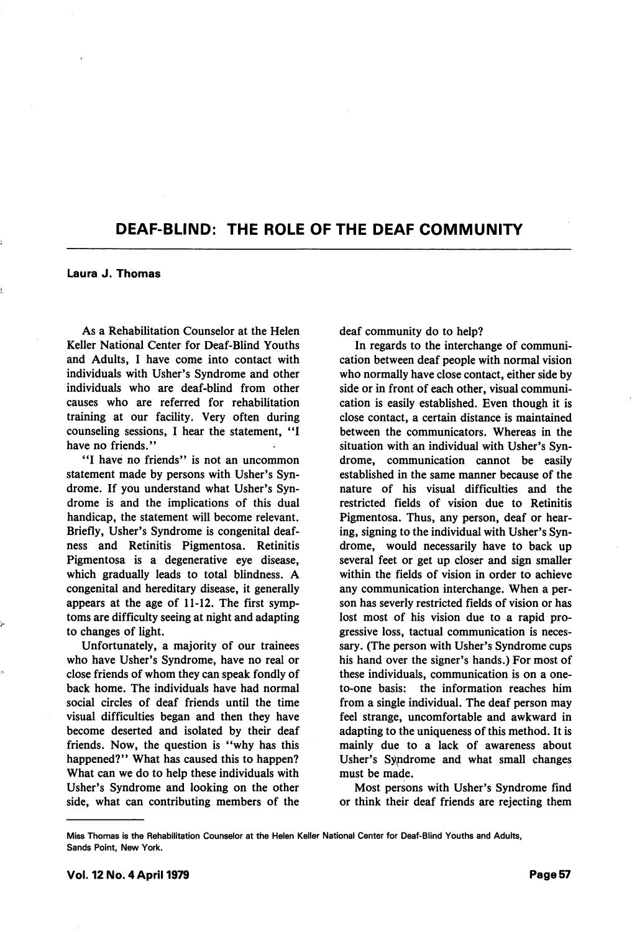## DEAF-BLIND: THE ROLE OF THE DEAF COMMUNITY

Laura J. Thomas

As a Rehabilitation Counselor at the Helen Keller National Center for Deaf-Blind Youths and Adults, I have come into contact with individuals with Usher's Syndrome and other individuals who are deaf-blind from other causes who are referred for rehabilitation training at our facility. Very often during counseling sessions, I hear the statement, have no friends."

"I have no friends" is not an uncommon statement made by persons with Usher's Syn drome. If you understand what Usher's Syn drome is and the implications of this dual handicap, the statement will become relevant. Briefly, Usher's Syndrome is congenital deaf ness and Retinitis Pigmentosa. Retinitis Pigmentosa is a degenerative eye disease, which gradually leads to total blindness. A congenital and hereditary disease, it generally appears at the age of 11-12. The first symp toms are difficulty seeing at night and adapting to changes of light.

Unfortunately, a majority of our trainees who have Usher's Syndrome, have no real or close friends of whom they can speak fondly of back home. The individuals have had normal social circles of deaf friends until the time visual difficulties began and then they have become deserted and isolated by their deaf friends. Now, the question is "why has this happened?" What has caused this to happen? What can we do to help these individuals with Usher's Syndrome and looking on the other side, what can contributing members of the

deaf community do to help?

In regards to the interchange of communi cation between deaf people with normal vision who normally have close contact, either side by side or in front of each other, visual communi cation is easily established. Even though it is close contact, a certain distance is maintained between the communicators. Whereas in the situation with an individual with Usher's Syn drome, communication cannot be easily established in the same manner because of the nature of his visual difficulties and the restricted fields of vision due to Retinitis Pigmentosa. Thus, any person, deaf or hear ing, signing to the individual with Usher's Syn drome, would necessarily have to back up several feet or get up closer and sign smaller within the fields of vision in order to achieve any communication interchange. When a per son has severly restricted fields of vision or has lost most of his vision due to a rapid pro gressive loss, tactual communication is neces sary. (The person with Usher's Syndrome cups his hand over the signer's hands.) For most of these individuals, communication is on a oneto-one basis: the information reaches him from a single individual. The deaf person may feel strange, uncomfortable and awkward in adapting to the uniqueness of this method. It is mainly due to a lack of awareness about Usher's Syndrome and what small changes must be made.

Most persons with Usher's Syndrome find or think their deaf friends are rejecting them

Miss Thomas is the Rehabilitation Counselor at the Helen Keller National Center for Deaf-Blind Youths and Adults, Sands Point, New York.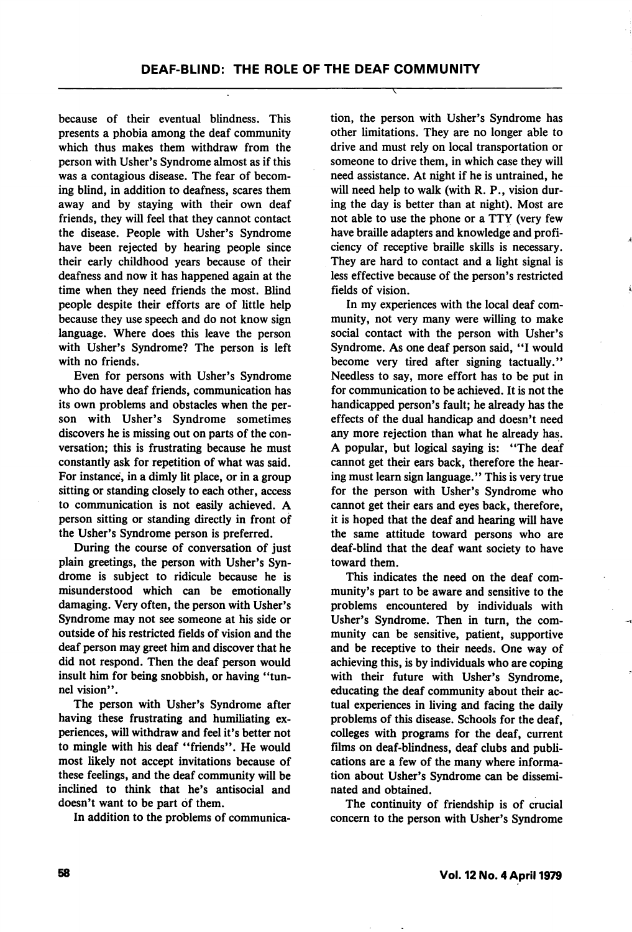because of their eventual blindness. This presents a phobia among the deaf community which thus makes them withdraw from the person with Usher's Syndrome almost as if this was a contagious disease. The fear of becom ing blind, in addition to deafness, scares them away and by staying with their own deaf friends, they will feel that they cannot contact the disease. People with Usher's Syndrome have been rejected by hearing people since their early childhood years because of their deafness and now it has happened again at the time when they need friends the most. Blind people despite their efforts are of little help because they use speech and do not know sign language. Where does this leave the person with Usher's Syndrome? The person is left with no friends.

Even for persons with Usher's Syndrome who do have deaf friends, communication has its own problems and obstacles when the per son with Usher's Syndrome sometimes discovers he is missing out on parts of the con versation; this is frustrating because he must constantly ask for repetition of what was said. For instance, in a dimly lit place, or in a group sitting or standing closely to each other, access to communication is not easily achieved. A person sitting or standing directly in front of the Usher's Syndrome person is preferred.

During the course of conversation of just plain greetings, the person with Usher's Syn drome is subject to ridicule because he is misunderstood which can be emotionally damaging. Very often, the person with Usher's Syndrome may not see someone at his side or outside of his restricted fields of vision and the deaf person may greet him and discover that he did not respond. Then the deaf person would insult him for being snobbish, or having "tunnel vision".

The person with Usher's Syndrome after having these frustrating and humiliating ex periences, will withdraw and feel it's better not to mingle with his deaf "friends". He would most likely not accept invitations because of these feelings, and the deaf community will be inclined to think that he's antisocial and doesn't want to be part of them.

In addition to the problems of communica

tion, the person with Usher's Syndrome has other limitations. They are no longer able to drive and must rely on local transportation or someone to drive them, in which case they will need assistance. At night if he is untrained, he will need help to walk (with R. P., vision dur ing the day is better than at night). Most are not able to use the phone or a TTY (very few have braille adapters and knowledge and profi ciency of receptive braille skills is necessary. They are hard to contact and a light signal is less effective because of the person's restricted fields of vision.

In my experiences with the local deaf com munity, not very many were willing to make social contact with the person with Usher's Syndrome. As one deaf person said, "I would become very tired after signing tactually." Needless to say, more effort has to be put in for communication to be achieved. It is not the handicapped person's fault; he already has the effects of the dual handicap and doesn't need any more rejection than what he already has. A popular, but logical saying is: "The deaf cannot get their ears back, therefore the hear ing must learn sign language." This is very true for the person with Usher's Syndrome who cannot get their ears and eyes back, therefore, it is hoped that the deaf and hearing will have the same attitude toward persons who are deaf-blind that the deaf want society to have toward them.

This indicates the need on the deaf com munity's part to be aware and sensitive to the problems encountered by individuals with Usher's Syndrome. Then in turn, the com munity can be sensitive, patient, supportive and be receptive to their needs. One way of achieving this, is by individuals who are coping with their future with Usher's Syndrome, educating the deaf community about their actual experiences in living and facing the daily problems of this disease. Schools for the deaf, colleges with programs for the deaf, current films on deaf-blindness, deaf clubs and publi cations are a few of the many where informa tion about Usher's Syndrome can be dissemi nated and obtained.

The continuity of friendship is of crucial concern to the person with Usher's Syndrome